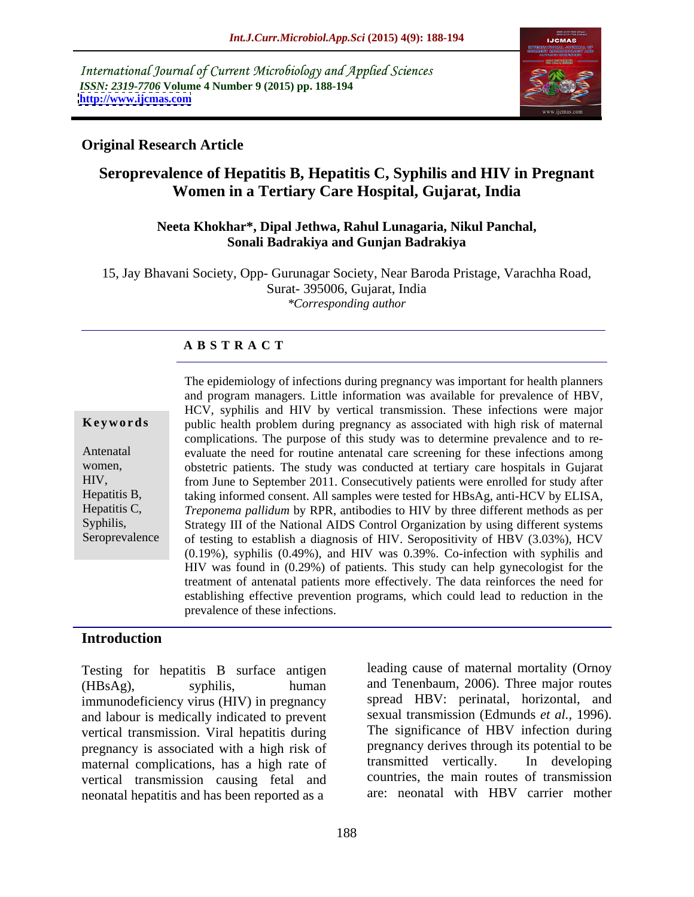International Journal of Current Microbiology and Applied Sciences *ISSN: 2319-7706* **Volume 4 Number 9 (2015) pp. 188-194 <http://www.ijcmas.com>**



## **Original Research Article**

# **Seroprevalence of Hepatitis B, Hepatitis C, Syphilis and HIV in Pregnant Women in a Tertiary Care Hospital, Gujarat, India**

### **Neeta Khokhar\*, Dipal Jethwa, Rahul Lunagaria, Nikul Panchal, Sonali Badrakiya and Gunjan Badrakiya**

15, Jay Bhavani Society, Opp- Gurunagar Society, Near Baroda Pristage, Varachha Road, Surat- 395006, Gujarat, India *\*Corresponding author*

### **A B S T R A C T**

Seroprevalence

The epidemiology of infections during pregnancy was important for health planners and program managers. Little information was available for prevalence of HBV, HCV, syphilis and HIV by vertical transmission. These infections were major **Keywords** public health problem during pregnancy as associated with high risk of maternal complications. The purpose of this study was to determine prevalence and to re- Antenatal evaluate the need for routine antenatal care screening for these infections among obstetric patients. The study was conducted at tertiary care hospitals in Gujarat women, from June to September 2011. Consecutively patients were enrolled for study after HIV, taking informed consent. All samples were tested for HBsAg, anti-HCV by ELISA, Hepatitis B, *Treponema pallidum* by RPR, antibodies to HIV by three different methods as per Hepatitis C, Syphilis, Strategy III of the National AIDS Control Organization by using different systems of testing to establish a diagnosis of HIV. Seropositivity of HBV (3.03%), HCV (0.19%), syphilis (0.49%), and HIV was 0.39%. Co-infection with syphilis and HIV was found in (0.29%) of patients. This study can help gynecologist for the treatment of antenatal patients more effectively. The data reinforces the need for establishing effective prevention programs, which could lead to reduction in the prevalence of these infections.

## **Introduction**

Testing for hepatitis B surface antigen (HBsAg), syphilis, human and Tenenbaum, 2006). Three major routes immunodeficiency virus (HIV) in pregnancy and labour is medically indicated to prevent vertical transmission. Viral hepatitis during pregnancy is associated with a high risk of pregnancy derives through its potential to be maternal complications, has a high rate of transmitted vertically. In developing maternal complications, has a high rate of vertical transmission causing fetal and neonatal hepatitis and has been reported as a

leading cause of maternal mortality (Ornoy spread HBV: perinatal, horizontal, and sexual transmission (Edmunds *et al.,* 1996). The significance of HBV infection during pregnancy derives through its potential to be transmitted vertically. In developing countries, the main routes of transmission are: neonatal with HBV carrier mother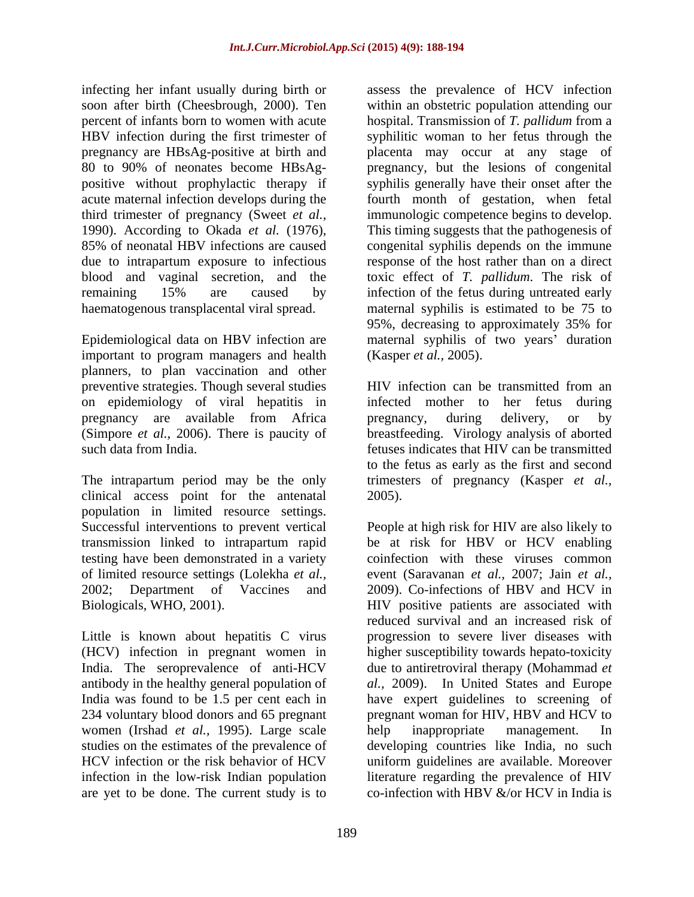infecting her infant usually during birth or pregnancy are HBsAg-positive at birth and due to intrapartum exposure to infectious

important to program managers and health planners, to plan vaccination and other preventive strategies. Though several studies HIV infection can be transmitted from an on epidemiology of viral hepatitis in pregnancy are available from Africa pregnancy, during delivery, or by (Simpore *et al.*, 2006). There is paucity of

clinical access point for the antenatal population in limited resource settings. testing have been demonstrated in a variety

Little is known about hepatitis C virus 234 voluntary blood donors and 65 pregnant women (Irshad *et al.,* 1995). Large scale are yet to be done. The current study is to

soon after birth (Cheesbrough, 2000). Ten within an obstetric population attending our percent of infants born to women with acute hospital. Transmission of *T. pallidum* from a HBV infection during the first trimester of syphilitic woman to her fetus through the 80 to 90% of neonates become HBsAg- pregnancy, but the lesions of congenital positive without prophylactic therapy if syphilis generally have their onset after the acute maternal infection develops during the fourth month of gestation, when fetal third trimester of pregnancy (Sweet *et al.,* immunologic competence begins to develop. 1990). According to Okada *et al.* (1976), This timing suggests that the pathogenesis of 85% of neonatal HBV infections are caused congenital syphilis depends on the immune blood and vaginal secretion, and the toxic effect of *T. pallidum*. The risk of remaining 15% are caused by infection of the fetus during untreated early haematogenous transplacental viral spread. maternal syphilis is estimated to be 75 to Epidemiological data on HBV infection are maternal syphilis of two years' duration assess the prevalence of HCV infection placenta may occur at any stage of This timing suggests that the pathogenesis of congenital syphilis depends on the immune response of the host rather than on a direct 95%, decreasing to approximately 35% for (Kasper *et al.,* 2005).

such data from India. fetuses indicates that HIV can be transmitted The intrapartum period may be the only trimesters of pregnancy (Kasper *et al.,* HIV infection can be transmitted from an infected mother to her fetus during pregnancy, during delivery, or by breastfeeding. Virology analysis of aborted to the fetus as early as the first and second 2005).

Successful interventions to prevent vertical People at high risk for HIV are also likely to transmission linked to intrapartum rapid be at risk for HBV or HCV enabling of limited resource settings (Lolekha *et al.,* event (Saravanan *et al.,* 2007; Jain *et al.,* 2002; Department of Vaccines and 2009). Co-infections of HBV and HCV in Biologicals, WHO, 2001). HIV positive patients are associated with (HCV) infection in pregnant women in higher susceptibility towards hepato-toxicity India. The seroprevalence of anti-HCV due to antiretroviral therapy (Mohammad *et*  antibody in the healthy general population of *al.,* 2009). In United States and Europe India was found to be 1.5 per cent each in have expert guidelines to screening of studies on the estimates of the prevalence of developing countries like India, no such HCV infection or the risk behavior of HCV uniform guidelines are available. Moreover infection in the low-risk Indian population literature regarding the prevalence of HIV coinfection with these viruses common reduced survival and an increased risk of progression to severe liver diseases with pregnant woman for HIV, HBV and HCV to help inappropriate management. In co-infection with HBV &/or HCV in India is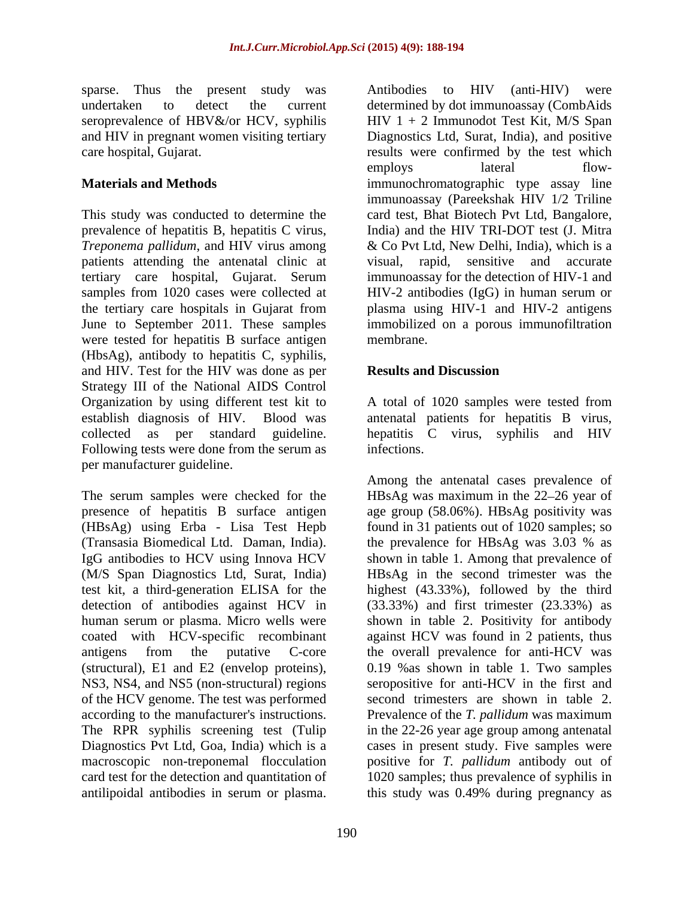sparse. Thus the present study was Antibodies to HIV (anti-HIV) were

prevalence of hepatitis B, hepatitis C virus, *Treponema pallidum*, and HIV virus among patients attending the antenatal clinic at the tertiary care hospitals in Gujarat from were tested for hepatitis B surface antigen membrane. (HbsAg), antibody to hepatitis C, syphilis, and HIV. Test for the HIV was done as per Strategy III of the National AIDS Control Organization by using different test kit to A total of 1020 samples were tested from establish diagnosis of HIV. Blood was antenatal patients for hepatitis B virus, collected as per standard guideline. hepatitis C virus, syphilis and HIV Following tests were done from the serum as infections. per manufacturer guideline.

(Transasia Biomedical Ltd. Daman, India). of the HCV genome. The test was performed

undertaken to detect the current determined by dot immunoassay (CombAids seroprevalence of HBV&/or HCV, syphilis HIV 1 + 2 Immunodot Test Kit, M/S Span and HIV in pregnant women visiting tertiary Diagnostics Ltd, Surat, India), and positive care hospital, Gujarat. results were confirmed by the test which **Materials and Methods immunochromatographic** type assay line This study was conducted to determine the card test, Bhat Biotech Pvt Ltd, Bangalore, tertiary care hospital, Gujarat. Serum samples from 1020 cases were collected at HIV-2 antibodies (IgG) in human serum or June to September 2011. These samples immobilized on a porous immunofiltration employs lateral flowimmunoassay (Pareekshak HIV 1/2 Triline India) and the HIV TRI-DOT test (J. Mitra & Co Pvt Ltd, New Delhi, India), which is a visual, rapid, sensitive and accurate immunoassay for the detection of HIV-1 and plasma using HIV-1 and HIV-2 antigens membrane.

## **Results and Discussion**

infections.

The serum samples were checked for the HBsAg was maximum in the 22–26 year of presence of hepatitis B surface antigen age group (58.06%). HBsAg positivity was (HBsAg) using Erba - Lisa Test Hepb found in 31 patients out of 1020 samples; so IgG antibodies to HCV using Innova HCV shown in table 1. Among that prevalence of (M/S Span Diagnostics Ltd, Surat, India) HBsAg in the second trimester was the test kit, a third-generation ELISA for the highest (43.33%), followed by the third detection of antibodies against HCV in (33.33%) and first trimester (23.33%) as human serum or plasma. Micro wells were shown in table 2. Positivity for antibody coated with HCV-specific recombinant against HCV was found in 2 patients, thus antigens from the putative C-core the overall prevalence for anti-HCV was (structural), E1 and E2 (envelop proteins), 0.19 %as shown in table 1. Two samples NS3, NS4, and NS5 (non-structural) regions seropositive for anti-HCV in the first and according to the manufacturer's instructions. Prevalence of the *T. pallidum* was maximum The RPR syphilis screening test (Tulip in the 22-26 year age group among antenatal Diagnostics Pvt Ltd, Goa, India) which is a cases in present study. Five samples were macroscopic non-treponemal flocculation positive for *T. pallidum* antibody out of card test for the detection and quantitation of 1020 samples; thus prevalence of syphilis in space. Thus the pose in the server of the control with the serue of the spatial and the serue of the serue of the serue of the serue of the serue of the serue of the serue of the serue of the serue of the serue of the seru Among the antenatal cases prevalence of the prevalence for HBsAg was 3.03 % as second trimesters are shown in table 2. this study was 0.49% during pregnancy as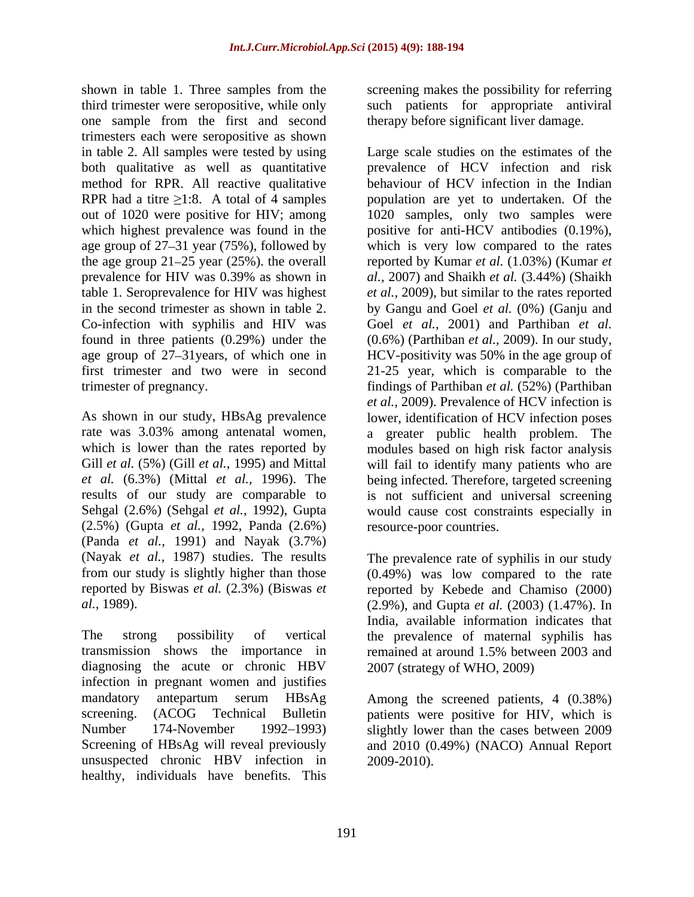shown in table 1. Three samples from the third trimester were seropositive, while only such patients for appropriate antiviral one sample from the first and second therapy before significant liver damage. trimesters each were seropositive as shown found in three patients  $(0.29\%)$  under the  $(0.6\%)$  (Parthiban *et al.*, 2009). In our study, age group of 27–31 years, of which one in HCV-positivity was 50% in the age group of

*et al.* (6.3%) (Mittal *et al.,* 1996). The (2.5%) (Gupta *et al.,* 1992, Panda (2.6%) (Panda *et al.,* 1991) and Nayak (3.7%)

diagnosing the acute or chronic HBV infection in pregnant women and justifies mandatory antepartum serum HBsAg Among the screened patients, 4 (0.38%) screening. (ACOG Technical Bulletin patients were positive for HIV, which is Number 174-November 1992–1993) slightly lower than the cases between 2009 Screening of HBsAg will reveal previously and 2010 (0.49%) (NACO) Annual Report unsuspected chronic HBV infection in healthy, individuals have benefits. This

screening makes the possibility for referring

in table 2. All samples were tested by using Large scale studies on the estimates of the both qualitative as well as quantitative prevalence of HCV infection and risk method for RPR. All reactive qualitative behaviour of HCV infection in the Indian RPR had a titre  $\geq 1:8$ . A total of 4 samples population are yet to undertaken. Of the out of 1020 were positive for HIV; among 1020 samples, only two samples were which highest prevalence was found in the positive for anti-HCV antibodies  $(0.19\%)$ , age group of 27–31 year (75%), followed by which is very low compared to the rates the age group 21–25 year (25%). the overall reported by Kumar *et al.* (1.03%) (Kumar *et* prevalence for HIV was 0.39% as shown in al., 2007) and Shaikh et al. (3.44%) (Shaikh table 1. Seroprevalence for HIV was highest *et al.,* 2009), but similar to the rates reported in the second trimester as shown in table 2. by Gangu and Goel *et al.* (0%) (Ganju and Co-infection with syphilis and HIV was Goel *et al.,* 2001) and Parthiban *et al.* first trimester and two were in second 21-25 year, which is comparable to the trimester of pregnancy. findings of Parthiban *et al.* (52%) (Parthiban As shown in our study, HBsAg prevalence lower, identification of HCV infection poses rate was 3.03% among antenatal women, a greater public health problem. The which is lower than the rates reported by modules based on high risk factor analysis Gill *et al.* (5%) (Gill *et al.,* 1995) and Mittal will fail to identify many patients who are results of our study are comparable to is not sufficient and universal screening Sehgal (2.6%) (Sehgal *et al.,* 1992), Gupta would cause cost constraints especially in *al.,* 2007) and Shaikh *et al.* (3.44%) (Shaikh (0.6%) (Parthiban *et al.*, 2009). In our study,<br>HCV-positivity was 50% in the age group of *et al.,* 2009). Prevalence of HCV infection is being infected. Therefore, targeted screening resource-poor countries.

(Nayak *et al.,* 1987) studies. The results The prevalence rate of syphilis in our study from our study is slightly higher than those (0.49%) was low compared to the rate reported by Biswas *et al.* (2.3%) (Biswas *et*  reported by Kebede and Chamiso (2000) *al.,* 1989). (2.9%), and Gupta *et al.* (2003) (1.47%). In The strong possibility of vertical the prevalence of maternal syphilis has transmission shows the importance in remained at around 1.5% between 2003 and India, available information indicates that 2007 (strategy of WHO, 2009)

2009-2010).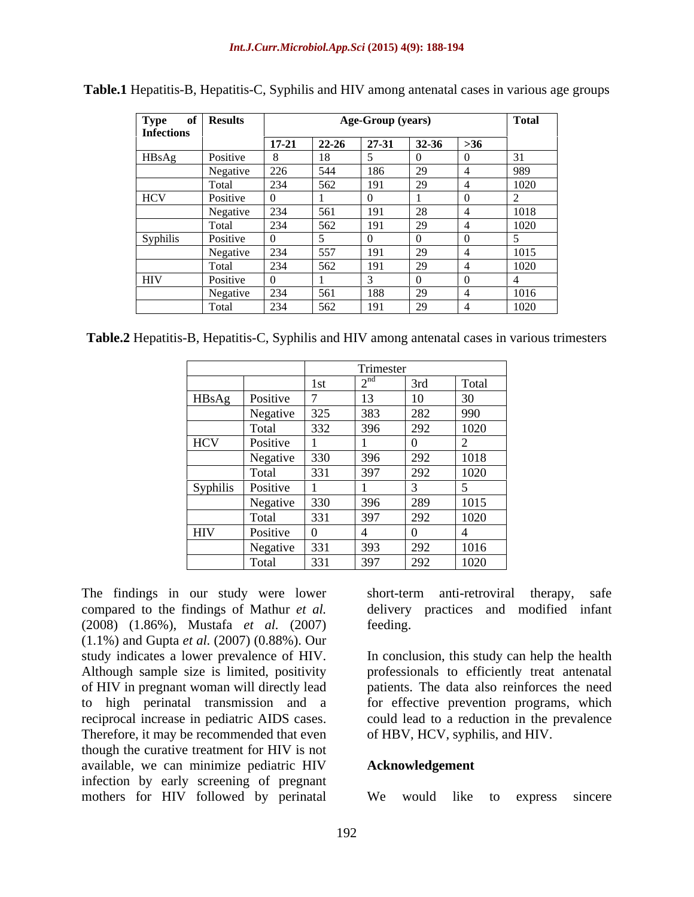| Type of<br>Infections | <b>Results</b> |              |           | <b>Age-Group (years)</b> |       |          | <b>Total</b> |
|-----------------------|----------------|--------------|-----------|--------------------------|-------|----------|--------------|
|                       |                | $17 - 21$    | $22 - 26$ | 27-31                    | 32-36 | $>36$    |              |
| HBsAg                 | Positive       | $\mathbf{R}$ | 18        |                          |       | $\Omega$ | <b>.</b>     |
|                       | Negative       | 226          | 544       | 186                      | 29    |          | 989          |
|                       | Total          | 234          | 562       | 191                      | 29    | -4       | 1020         |
| <b>HCV</b>            | Positive       |              |           |                          |       | $\Omega$ |              |
|                       | Negative       | 234          | 561       | 191                      | 28    |          | 1018         |
|                       | Total          | 234          | 562       | 191                      | 29    |          | 1020         |
| Syphilis              | Positive       |              |           |                          |       |          |              |
|                       | Negative       | $\sqrt{234}$ | 557       | 191                      | 29    | -4       | 1015         |
|                       | Total          | 234          | 562       | 191                      | 29    |          | 1020         |
| <b>HIV</b>            | Positive       |              |           |                          |       |          |              |
|                       | Negative       | 234          | 561       | 188                      | 29    |          | 1016         |
|                       | Total          | 234          | 562       | 191                      | 29    |          | 1020         |

**Table.1** Hepatitis-B, Hepatitis-C, Syphilis and HIV among antenatal cases in various age groups

**Table.2** Hepatitis-B, Hepatitis-C, Syphilis and HIV among antenatal cases in various trimesters

|            |          | Trimester |           |     |                   |  |
|------------|----------|-----------|-----------|-----|-------------------|--|
|            |          | 1st       | $\sim$ nd | 3rd | Total             |  |
| HBsAg      | Positive |           | $\sim$    | 10  | 30                |  |
|            | Negative | 325       | 383       | 282 | 990               |  |
|            | Total    | 332       | 396       | 292 | 1020              |  |
| <b>HCV</b> | Positive |           |           |     |                   |  |
|            | Negative | 330       | 396       | 292 | 1018              |  |
|            | Total    | 331       | 397       | 292 | $\overline{1020}$ |  |
| Syphilis   | Positive |           |           |     |                   |  |
|            | Negative | 330       | 396       | 289 | 1015              |  |
|            | Total    | 331       | 397       | 292 | 1020              |  |
| HIV        | Positive |           |           |     |                   |  |
|            | Negative | 331       | 393       | 292 | 1016              |  |
|            | Total    | 331       | 397       | 292 | 1020              |  |

The findings in our study were lower short-term anti-retroviral therapy, safe compared to the findings of Mathur *et al.* delivery practices and modified infant (2008) (1.86%), Mustafa *et al.* (2007) (1.1%) and Gupta *et al.* (2007) (0.88%). Our study indicates a lower prevalence of HIV. In conclusion, this study can help the health Although sample size is limited, positivity of HIV in pregnant woman will directly lead to high perinatal transmission and a reciprocal increase in pediatric AIDS cases. could lead to a reduction in the prevalence Therefore, it may be recommended that even though the curative treatment for HIV is not available, we can minimize pediatric HIV infection by early screening of pregnant mothers for HIV followed by perinatal

short-term anti-retroviral therapy, feeding.

professionals to efficiently treat antenatal patients. The data also reinforces the need for effective prevention programs, which of HBV, HCV, syphilis, and HIV.

### **Acknowledgement**

We would like to express sincere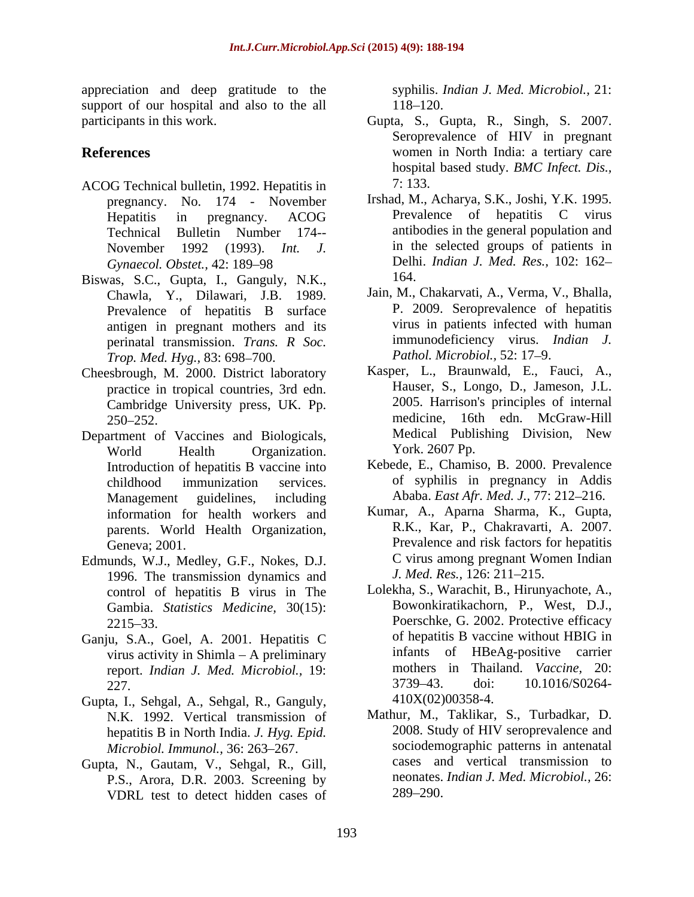appreciation and deep gratitude to the support of our hospital and also to the all  $118-120$ .<br>participants in this work. Gupta, S., C

- ACOG Technical bulletin, 1992. Hepatitis in pregnancy. No. 174 - November November 1992 (1993). *Int. J.*
- Biswas, S.C., Gupta, I., Ganguly, N.K., 164. Chawla, Y., Dilawari, J.B. 1989. Prevalence of hepatitis B surface antigen in pregnant mothers and its perinatal transmission. *Trans. R Soc. Trop. Med. Hyg., 83: 698-700.*
- Cheesbrough, M. 2000. District laboratory practice in tropical countries, 3rd edn. Cambridge University press, UK. Pp.
- Department of Vaccines and Biologicals, World Health Organization. York. 2607 Pp. Introduction of hepatitis B vaccine into Management guidelines, including Ababa. East Afr. Med. J., 77: 212-216.<br>information for health workers and Kumar, A., Aparna Sharma, K., Gupta, information for health workers and parents. World Health Organization,
- Edmunds, W.J., Medley, G.F., Nokes, D.J. 1996. The transmission dynamics and control of hepatitis B virus in The Gambia. *Statistics Medicine,* 30(15):
- virus activity in Shimla  $A$  preliminary
- Gupta, I., Sehgal, A., Sehgal, R., Ganguly, N.K. 1992. Vertical transmission of hepatitis B in North India. *J. Hyg. Epid. Microbiol. Immunol., 36: 263-267.*
- Gupta, N., Gautam, V., Sehgal, R., Gill, P.S., Arora, D.R. 2003. Screening by neonates.<br>VDRL test to detect hidden cases of 289–290. VDRL test to detect hidden cases of

syphilis. *Indian J. Med. Microbiol.,* 21: 118–120.

- participants in this work. Gupta, S., Gupta, R., Singh, S. 2007. **References** women in North India: a tertiary care Seroprevalence of HIV in pregnant hospital based study. *BMC Infect. Dis.,* 7: 133.
	- Hepatitis in pregnancy. ACOG Technical Bulletin Number 174-- antibodies in the general population and *Gynaecol. Obstet.,* 42: 189 98 Delhi. *Indian J. Med. Res.,* 102: 162 Irshad, M., Acharya, S.K., Joshi, Y.K. 1995. Prevalence of hepatitis C virus in the selected groups of patients in 164.
		- Jain, M., Chakarvati, A., Verma, V., Bhalla, P. 2009. Seroprevalence of hepatitis virus in patients infected with human immunodeficiency virus. *Indian J. Pathol. Microbiol., 52: 17-9.*
	- 250 252. medicine, 16th edn. McGraw-Hill Kasper, L., Braunwald, E., Fauci, A., Hauser, S., Longo, D., Jameson, J.L. 2005. Harrison's principles of internal Medical Publishing Division, New York. 2607 Pp.
	- childhood immunization services. of syphilis in pregnancy in Addis Kebede, E., Chamiso, B. 2000. Prevalence
	- Geneva; 2001. Prevalence and risk factors for hepatitis Ababa. *East Afr. Med. J.*, 77: 212–216.<br>Kumar, A., Aparna Sharma, K., Gupta, R.K., Kar, P., Chakravarti, A. 2007. C virus among pregnant Women Indian *J. Med. Res.,* 126: 211-215.
- 2215 33. Poerschke, G. 2002. Protective efficacy Ganju, S.A., Goel, A. 2001. Hepatitis C of hepatitis B vaccine without HBIG in report. *Indian J. Med. Microbiol.,* 19: 227. 10.1016/S0264-Lolekha, S., Warachit, B., Hirunyachote, A., Bowonkiratikachorn, P., West, D.J., of hepatitis B vaccine without HBIG in infants of HBeAg-positive carrier mothers in Thailand. *Vaccine,* 20: 3739 43. doi: 10.1016/S0264- 410X(02)00358-4.
	- Mathur, M., Taklikar, S., Turbadkar, D. 2008. Study of HIV seroprevalence and sociodemographic patterns in antenatal cases and vertical transmission to neonates. *Indian J. Med. Microbiol.,* 26: 289 290.